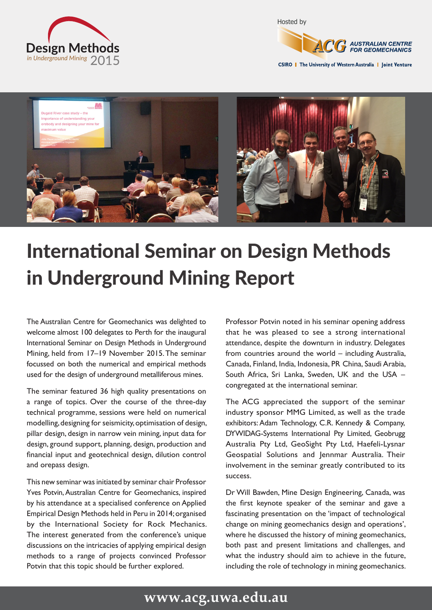



CSIRO | The University of Western Australia | Joint Venture



## International Seminar on Design Methods in Underground Mining Report

The Australian Centre for Geomechanics was delighted to welcome almost 100 delegates to Perth for the inaugural International Seminar on Design Methods in Underground Mining, held from 17–19 November 2015. The seminar focussed on both the numerical and empirical methods used for the design of underground metalliferous mines.

The seminar featured 36 high quality presentations on a range of topics. Over the course of the three-day technical programme, sessions were held on numerical modelling, designing for seismicity, optimisation of design, pillar design, design in narrow vein mining, input data for design, ground support, planning, design, production and financial input and geotechnical design, dilution control and orepass design.

This new seminar was initiated by seminar chair Professor Yves Potvin, Australian Centre for Geomechanics, inspired by his attendance at a specialised conference on Applied Empirical Design Methods held in Peru in 2014; organised by the International Society for Rock Mechanics. The interest generated from the conference's unique discussions on the intricacies of applying empirical design methods to a range of projects convinced Professor Potvin that this topic should be further explored.

Professor Potvin noted in his seminar opening address that he was pleased to see a strong international attendance, despite the downturn in industry. Delegates from countries around the world – including Australia, Canada, Finland, India, Indonesia, PR China, Saudi Arabia, South Africa, Sri Lanka, Sweden, UK and the USA – congregated at the international seminar.

The ACG appreciated the support of the seminar industry sponsor MMG Limited, as well as the trade exhibitors: Adam Technology, C.R. Kennedy & Company, DYWIDAG-Systems International Pty Limited, Geobrugg Australia Pty Ltd, GeoSight Pty Ltd, Haefeli-Lysnar Geospatial Solutions and Jennmar Australia. Their involvement in the seminar greatly contributed to its success.

Dr Will Bawden, Mine Design Engineering, Canada, was the first keynote speaker of the seminar and gave a fascinating presentation on the 'impact of technological change on mining geomechanics design and operations', where he discussed the history of mining geomechanics, both past and present limitations and challenges, and what the industry should aim to achieve in the future, including the role of technology in mining geomechanics.

## **www.acg.uwa.edu.au**